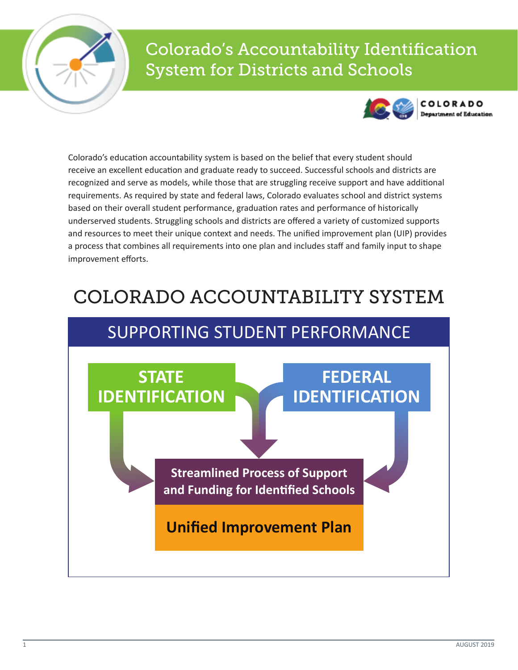

# Colorado's Accountability Identification System for Districts and Schools



COLORADO

Colorado's education accountability system is based on the belief that every student should receive an excellent education and graduate ready to succeed. Successful schools and districts are recognized and serve as models, while those that are struggling receive support and have additional requirements. As required by state and federal laws, Colorado evaluates school and district systems based on their overall student performance, graduation rates and performance of historically underserved students. Struggling schools and districts are offered a variety of customized supports and resources to meet their unique context and needs. The unified improvement plan (UIP) provides a process that combines all requirements into one plan and includes staff and family input to shape improvement efforts.

# COLORADO ACCOUNTABILITY SYSTEM

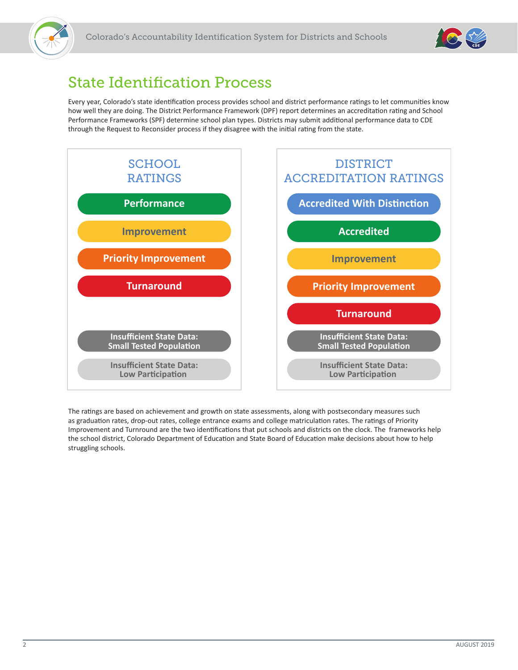



# State Identification Process

Every year, Colorado's state identification process provides school and district performance ratings to let communities know how well they are doing. The District Performance Framework (DPF) report determines an accreditation rating and School Performance Frameworks (SPF) determine school plan types. Districts may submit additional performance data to CDE through the Request to Reconsider process if they disagree with the initial rating from the state.



The ratings are based on achievement and growth on state assessments, along with postsecondary measures such as graduation rates, drop-out rates, college entrance exams and college matriculation rates. The ratings of Priority Improvement and Turnround are the two identifications that put schools and districts on the clock. The frameworks help the school district, Colorado Department of Education and State Board of Education make decisions about how to help struggling schools.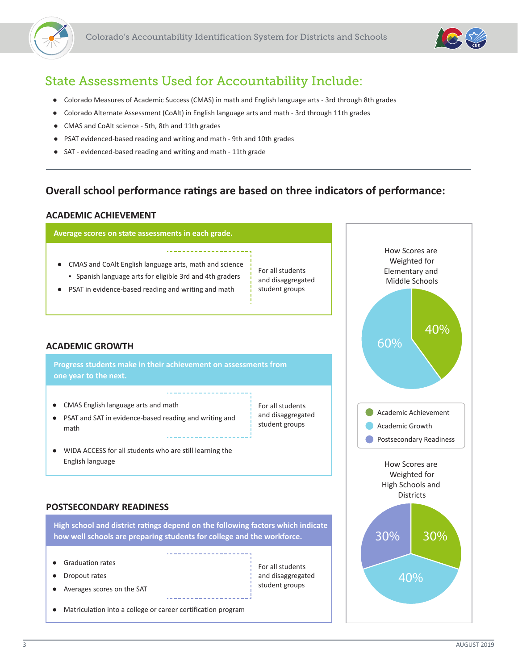



## State Assessments Used for Accountability Include:

- Colorado Measures of Academic Success (CMAS) in math and English language arts 3rd through 8th grades
- Colorado Alternate Assessment (CoAlt) in English language arts and math 3rd through 11th grades
- CMAS and CoAlt science 5th, 8th and 11th grades
- PSAT evidenced-based reading and writing and math 9th and 10th grades
- SAT evidenced-based reading and writing and math 11th grade

### **Overall school performance ratings are based on three indicators of performance:**

#### **ACADEMIC ACHIEVEMENT**



- CMAS and CoAlt English language arts, math and science
- Spanish language arts for eligible 3rd and 4th graders
- PSAT in evidence-based reading and writing and math

For all students and disaggregated student groups

For all students and disaggregated student groups

For all students and disaggregated

#### **ACADEMIC GROWTH**

**Progress students make in their achievement on assessments from one year to the next.** 

- CMAS English language arts and math
- PSAT and SAT in evidence-based reading and writing and math
- WIDA ACCESS for all students who are still learning the English language

#### **POSTSECONDARY READINESS**

**High school and district ratings depend on the following factors which indicate how well schools are preparing students for college and the workforce.** 

- **Graduation rates**
- Dropout rates
- Averages scores on the SAT

student groups

● Matriculation into a college or career certification program

How Scores are Weighted for Elementary and Middle Schools How Scores are Weighted for High Schools and Districts Academic Achievement Academic Growth **Postsecondary Readiness** 40% 60% 30% 40% 30%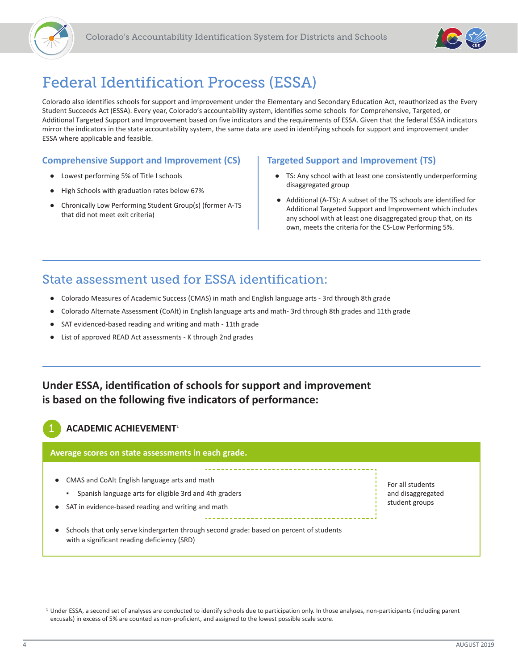



# Federal Identification Process (ESSA)

Colorado also identifies schools for support and improvement under the Elementary and Secondary Education Act, reauthorized as the Every Student Succeeds Act (ESSA). Every year, Colorado's accountability system, identifies some schools for Comprehensive, Targeted, or Additional Targeted Support and Improvement based on five indicators and the requirements of ESSA. Given that the federal ESSA indicators mirror the indicators in the state accountability system, the same data are used in identifying schools for support and improvement under ESSA where applicable and feasible.

#### **Comprehensive Support and Improvement (CS)**

- Lowest performing 5% of Title I schools
- High Schools with graduation rates below 67%
- Chronically Low Performing Student Group(s) (former A-TS that did not meet exit criteria)

#### **Targeted Support and Improvement (TS)**

- TS: Any school with at least one consistently underperforming disaggregated group
- Additional (A-TS): A subset of the TS schools are identified for Additional Targeted Support and Improvement which includes any school with at least one disaggregated group that, on its own, meets the criteria for the CS-Low Performing 5%.

### State assessment used for ESSA identification:

- Colorado Measures of Academic Success (CMAS) in math and English language arts 3rd through 8th grade
- Colorado Alternate Assessment (CoAlt) in English language arts and math- 3rd through 8th grades and 11th grade
- SAT evidenced-based reading and writing and math 11th grade
- List of approved READ Act assessments K through 2nd grades

### **Under ESSA, identification of schools for support and improvement is based on the following five indicators of performance:**

#### 1 **ACADEMIC ACHIEVEMENT**<sup>1</sup>

#### **Average scores on state assessments in each grade.**

● CMAS and CoAlt English language arts and math

- Spanish language arts for eligible 3rd and 4th graders
- SAT in evidence-based reading and writing and math
	- Schools that only serve kindergarten through second grade: based on percent of students with a significant reading deficiency (SRD)

For all students and disaggregated student groups

<sup>&</sup>lt;sup>1</sup> Under ESSA, a second set of analyses are conducted to identify schools due to participation only. In those analyses, non-participants (including parent excusals) in excess of 5% are counted as non-proficient, and assigned to the lowest possible scale score.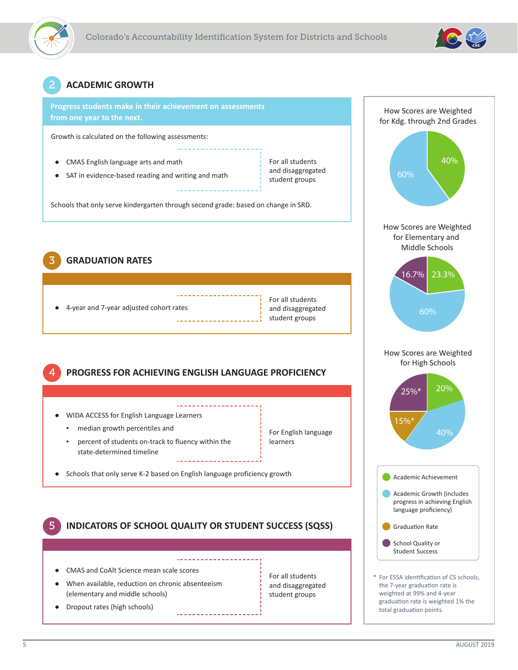



### 2 **ACADEMIC GROWTH**



Growth is calculated on the following assessments:

- CMAS English language arts and math
- SAT in evidence-based reading and writing and math

For all students and disaggregated student groups

Schools that only serve kindergarten through second grade: based on change in SRD.

3 **GRADUATION RATES**

4-year and 7-year adjusted cohort rates

For all students and disaggregated student groups

For English language

learners

4 **PROGRESS FOR ACHIEVING ENGLISH LANGUAGE PROFICIENCY**

. <u>. . . . . . . . . . . . .</u>

- WIDA ACCESS for English Language Learners
	- median growth percentiles and
	- percent of students on-track to fluency within the state-determined timeline
- Schools that only serve K-2 based on English language proficiency growth

5 **INDICATORS OF SCHOOL QUALITY OR STUDENT SUCCESS (SQSS)** 

- CMAS and CoAlt Science mean scale scores
- When available, reduction on chronic absenteeism (elementary and middle schools)
- Dropout rates (high schools)

For all students and disaggregated student groups